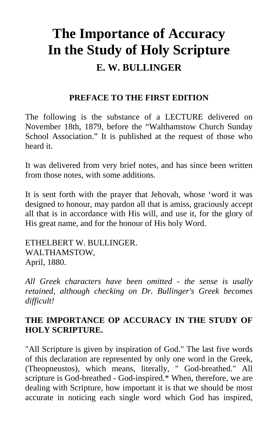## **The Importance of Accuracy In the Study of Holy Scripture E. W. BULLINGER**

## **PREFACE TO THE FIRST EDITION**

The following is the substance of a LECTURE delivered on November 18th, 1879, before the "Walthamstow Church Sunday School Association." It is published at the request of those who heard it.

It was delivered from very brief notes, and has since been written from those notes, with some additions.

It is sent forth with the prayer that Jehovah, whose 'word it was designed to honour, may pardon all that is amiss, graciously accept all that is in accordance with His will, and use it, for the glory of His great name, and for the honour of His holy Word.

ETHELBERT W. BULLINGER. WALTHAMSTOW, April, 1880.

*All Greek characters have been omitted - the sense is usally retained, although checking on Dr. Bullinger's Greek becomes difficult!* 

## **THE IMPORTANCE OP ACCURACY IN THE STUDY OF HOLY SCRIPTURE.**

"All Scripture is given by inspiration of God." The last five words of this declaration are represented by only one word in the Greek, (Theopneustos), which means, literally, " God-breathed." All scripture is God-breathed - God-inspired.\* When, therefore, we are dealing with Scripture, how important it is that we should be most accurate in noticing each single word which God has inspired,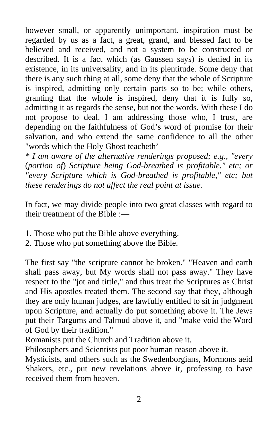however small, or apparently unimportant. inspiration must be regarded by us as a fact, a great, grand, and blessed fact to be believed and received, and not a system to be constructed or described. It is a fact which (as Gaussen says) is denied in its existence, in its universality, and in its plentitude. Some deny that there is any such thing at all, some deny that the whole of Scripture is inspired, admitting only certain parts so to be; while others, granting that the whole is inspired, deny that it is fully so, admitting it as regards the sense, but not the words. With these I do not propose to deal. I am addressing those who, I trust, are depending on the faithfulness of God's word of promise for their salvation, and who extend the same confidence to all the other "words which the Holy Ghost teacheth'

*\* I am aware of the alternative renderings proposed; e.g., "every*  (*portion of*) *Scripture being God-breathed is profitable," etc; or "every Scripture which is God-breathed is profitable," etc; but these renderings do not affect the real point at issue.* 

In fact, we may divide people into two great classes with regard to their treatment of the Bible :—

- 1. Those who put the Bible above everything.
- 2. Those who put something above the Bible.

The first say "the scripture cannot be broken." "Heaven and earth shall pass away, but My words shall not pass away." They have respect to the "jot and tittle," and thus treat the Scriptures as Christ and His apostles treated them. The second say that they, although they are only human judges, are lawfully entitled to sit in judgment upon Scripture, and actually do put something above it. The Jews put their Targums and Talmud above it, and "make void the Word of God by their tradition."

Romanists put the Church and Tradition above it.

Philosophers and Scientists put poor human reason above it.

Mysticists, and others such as the Swedenborgians, Mormons aeid Shakers, etc., put new revelations above it, professing to have received them from heaven.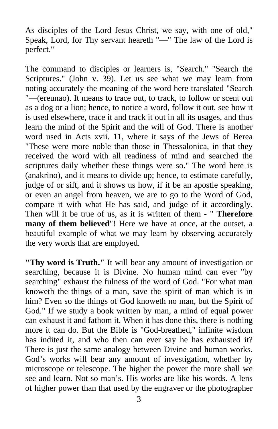As disciples of the Lord Jesus Christ, we say, with one of old," Speak, Lord, for Thy servant heareth "—" The law of the Lord is perfect."

The command to disciples or learners is, "Search." "Search the Scriptures." (John v. 39). Let us see what we may learn from noting accurately the meaning of the word here translated "Search "—(ereunao). It means to trace out, to track, to follow or scent out as a dog or a lion; hence, to notice a word, follow it out, see how it is used elsewhere, trace it and track it out in all its usages, and thus learn the mind of the Spirit and the will of God. There is another word used in Acts xvii. 11, where it says of the Jews of Berea "These were more noble than those in Thessalonica, in that they received the word with all readiness of mind and searched the scriptures daily whether these things were so." The word here is (anakrino), and it means to divide up; hence, to estimate carefully, judge of or sift, and it shows us how, if it be an apostle speaking, or even an angel from heaven, we are to go to the Word of God, compare it with what He has said, and judge of it accordingly. Then will it be true of us, as it is written of them - " **Therefore many of them believed**"! Here we have at once, at the outset, a beautiful example of what we may learn by observing accurately the very words that are employed.

**"Thy word is Truth."** It will bear any amount of investigation or searching, because it is Divine. No human mind can ever "by searching" exhaust the fulness of the word of God. "For what man knoweth the things of a man, save the spirit of man which is in him? Even so the things of God knoweth no man, but the Spirit of God." If we study a book written by man, a mind of equal power can exhaust it and fathom it. When it has done this, there is nothing more it can do. But the Bible is "God-breathed," infinite wisdom has indited it, and who then can ever say he has exhausted it? There is just the same analogy between Divine and human works. God's works will bear any amount of investigation, whether by microscope or telescope. The higher the power the more shall we see and learn. Not so man's. His works are like his words. A lens of higher power than that used by the engraver or the photographer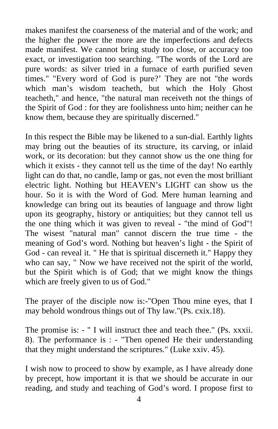makes manifest the coarseness of the material and of the work; and the higher the power the more are the imperfections and defects made manifest. We cannot bring study too close, or accuracy too exact, or investigation too searching. "The words of the Lord are pure words: as silver tried in a furnace of earth purified seven times." "Every word of God is pure?' They are not "the words which man's wisdom teacheth, but which the Holy Ghost teacheth," and hence, "the natural man receiveth not the things of the Spirit of God : for they are foolishness unto him; neither can he know them, because they are spiritually discerned."

In this respect the Bible may be likened to a sun-dial. Earthly lights may bring out the beauties of its structure, its carving, or inlaid work, or its decoration: but they cannot show us the one thing for which it exists - they cannot tell us the time of the day! No earthly light can do that, no candle, lamp or gas, not even the most brilliant electric light. Nothing but HEAVEN's LIGHT can show us the hour. So it is with the Word of God. Mere human learning and knowledge can bring out its beauties of language and throw light upon its geography, history or antiquities; but they cannot tell us the one thing which it was given to reveal - "the mind of God"! The wisest "natural man" cannot discern the true time - the meaning of God's word. Nothing but heaven's light - the Spirit of God - can reveal it. " He that is spiritual discerneth it." Happy they who can say, " Now we have received not the spirit of the world, but the Spirit which is of God; that we might know the things which are freely given to us of God."

The prayer of the disciple now is:-"Open Thou mine eyes, that I may behold wondrous things out of Thy law."(Ps. cxix.18).

The promise is: - " I will instruct thee and teach thee." (Ps. xxxii. 8). The performance is : - "Then opened He their understanding that they might understand the scriptures." (Luke xxiv. 45).

I wish now to proceed to show by example, as I have already done by precept, how important it is that we should be accurate in our reading, and study and teaching of God's word. I propose first to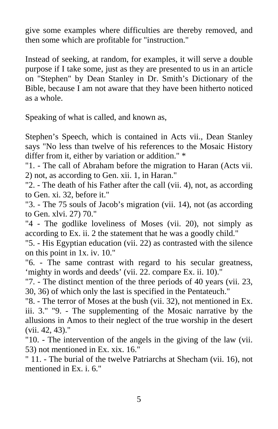give some examples where difficulties are thereby removed, and then some which are profitable for "instruction."

Instead of seeking, at random, for examples, it will serve a double purpose if I take some, just as they are presented to us in an article on "Stephen" by Dean Stanley in Dr. Smith's Dictionary of the Bible, because I am not aware that they have been hitherto noticed as a whole.

Speaking of what is called, and known as,

Stephen's Speech, which is contained in Acts vii., Dean Stanley says "No less than twelve of his references to the Mosaic History differ from it, either by variation or addition." \*

"1. - The call of Abraham before the migration to Haran (Acts vii. 2) not, as according to Gen. xii. 1, in Haran."

"2. - The death of his Father after the call (vii. 4), not, as according to Gen. xi. 32, before it."

"3. - The 75 souls of Jacob's migration (vii. 14), not (as according to Gen. xlvi. 27) 70."

"4 - The godlike loveliness of Moses (vii. 20), not simply as according to Ex. ii. 2 the statement that he was a goodly child."

"5. - His Egyptian education (vii. 22) as contrasted with the silence on this point in 1x. iv. 10."

"6. - The same contrast with regard to his secular greatness, 'mighty in words and deeds' (vii. 22. compare Ex. ii. 10)."

"7. - The distinct mention of the three periods of 40 years (vii. 23, 30, 36) of which only the last is specified in the Pentateuch."

"8. - The terror of Moses at the bush (vii. 32), not mentioned in Ex. iii. 3." "9. - The supplementing of the Mosaic narrative by the allusions in Amos to their neglect of the true worship in the desert (vii. 42, 43)."

"10. - The intervention of the angels in the giving of the law (vii. 53) not mentioned in Ex. xix. 16."

" 11. - The burial of the twelve Patriarchs at Shecham (vii. 16), not mentioned in Ex. i. 6."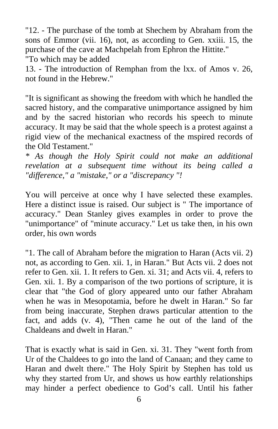"12. - The purchase of the tomb at Shechem by Abraham from the sons of Emmor (vii. 16), not, as according to Gen. xxiii. 15, the purchase of the cave at Machpelah from Ephron the Hittite." "To which may be added

13. - The introduction of Remphan from the lxx. of Amos v. 26, not found in the Hebrew."

"It is significant as showing the freedom with which he handled the sacred history, and the comparative unimportance assigned by him and by the sacred historian who records his speech to minute accuracy. It may be said that the whole speech is a protest against a rigid view of the mechanical exactness of the mspired records of the Old Testament."

*\* As though the Holy Spirit could not make an additional revelation at a subsequent time without its being called a "difference," a "mistake," or a "discrepancy "!*

You will perceive at once why I have selected these examples. Here a distinct issue is raised. Our subject is " The importance of accuracy." Dean Stanley gives examples in order to prove the "unimportance" of "minute accuracy." Let us take then, in his own order, his own words

"1. The call of Abraham before the migration to Haran (Acts vii. 2) not, as according to Gen. xii. 1, in Haran." But Acts vii. 2 does not refer to Gen. xii. 1. It refers to Gen. xi. 31; and Acts vii. 4, refers to Gen. xii. 1. By a comparison of the two portions of scripture, it is clear that "the God of glory appeared unto our father Abraham when he was in Mesopotamia, before he dwelt in Haran." So far from being inaccurate, Stephen draws particular attention to the fact, and adds (v. 4), "Then came he out of the land of the Chaldeans and dwelt in Haran."

That is exactly what is said in Gen. xi. 31. They "went forth from Ur of the Chaldees to go into the land of Canaan; and they came to Haran and dwelt there." The Holy Spirit by Stephen has told us why they started from Ur, and shows us how earthly relationships may hinder a perfect obedience to God's call. Until his father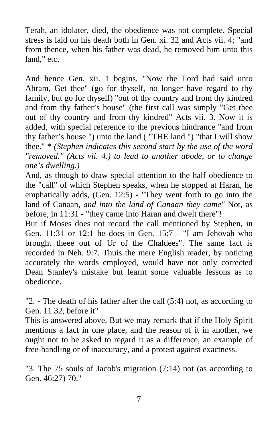Terah, an idolater, died, the obedience was not complete. Special stress is laid on his death both in Gen. xi. 32 and Acts vii. 4; "and from thence, when his father was dead, he removed him unto this land," etc.

And hence Gen. xii. 1 begins, "Now the Lord had said unto Abram, Get thee" (go for thyself, no longer have regard to thy family, but go for thyself) "out of thy country and from thy kindred and from thy father's house" (the first call was simply "Get thee out of thy country and from thy kindred" Acts vii. 3. Now it is added, with special reference to the previous hindrance "and from thy father's house ") unto the land ( "THE land ") "that I will show thee." \* *(Stephen indicates this second start by the use of the word "removed." (Acts vii. 4.) to lead to another abode, or to change one's dwelling.)*

And, as though to draw special attention to the half obedience to the "call" of which Stephen speaks, when he stopped at Haran, he emphatically adds, (Gen. 12:5) - "They went forth to go into the land of Canaan, *and into the land of Canaan they came"* Not, as before, in 11:31 - "they came into Haran and dwelt there"!

But if Moses does not record the call mentioned by Stephen, in Gen. 11:31 or 12:1 he does in Gen. 15:7 - "I am Jehovah who brought theee out of Ur of the Chaldees". The same fact is recorded in Neh. 9:7. Thuis the mere English reader, by noticing accurately the words employed, would have not only corrected Dean Stanley's mistake but learnt some valuable lessons as to obedience.

"2. - The death of his father after the call (5:4) not, as according to Gen. 11.32, before it"

This is answered above. But we may remark that if the Holy Spirit mentions a fact in one place, and the reason of it in another, we ought not to be asked to regard it as a difference, an example of free-handling or of inaccuracy, and a protest against exactness.

"3. The 75 souls of Jacob's migration (7:14) not (as according to Gen. 46:27) 70."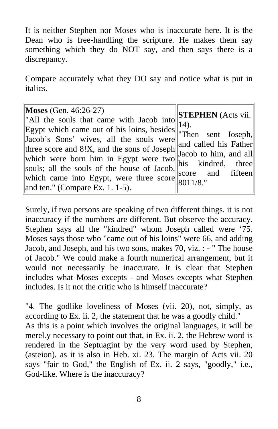It is neither Stephen nor Moses who is inaccurate here. It is the Dean who is free-handling the scripture. He makes them say something which they do NOT say, and then says there is a discrepancy.

Compare accurately what they DO say and notice what is put in italics.

| <b>Moses</b> (Gen. 46:26-27)<br>"All the souls that came with Jacob into<br>Egypt which came out of his loins, besides 14).<br>Egypt which came out of his loins, besides Then sent Joseph,<br>Jacob's Sons' wives, all the souls were<br>three score and 8!X, and the sons of Joseph $\begin{bmatrix} \text{and} \\ \text{Jacobi} \end{bmatrix}$ and $\begin{bmatrix} \text{and} \\ \text{in} \end{bmatrix}$<br>which were born him in Egypt were two his kindred, three<br>souls; all the souls of the house of Jacob,<br>which came into Egypt, were three score $\frac{1}{8011/8}$ .<br>and ten." (Compare Ex. 1. 1-5). | $\left\  \right\ $ <b>STEPHEN</b> (Acts vii.<br>and called his Father<br>score and fifteen |
|-----------------------------------------------------------------------------------------------------------------------------------------------------------------------------------------------------------------------------------------------------------------------------------------------------------------------------------------------------------------------------------------------------------------------------------------------------------------------------------------------------------------------------------------------------------------------------------------------------------------------------|--------------------------------------------------------------------------------------------|
|-----------------------------------------------------------------------------------------------------------------------------------------------------------------------------------------------------------------------------------------------------------------------------------------------------------------------------------------------------------------------------------------------------------------------------------------------------------------------------------------------------------------------------------------------------------------------------------------------------------------------------|--------------------------------------------------------------------------------------------|

Surely, if two persons are speaking of two different things. it is not inaccuracy if the numbers are different. But observe the accuracy. Stephen says all the "kindred" whom Joseph called were '75. Moses says those who "came out of his loins" were 66, and adding Jacob, and Joseph, and his two sons, makes 70, viz. : - " The house of Jacob." We could make a fourth numerical arrangement, but it would not necessarily be inaccurate. It is clear that Stephen includes what Moses excepts - and Moses excepts what Stephen includes. Is it not the critic who is himself inaccurate?

"4. The godlike loveliness of Moses (vii. 20), not, simply, as according to Ex. ii. 2, the statement that he was a goodly child." As this is a point which involves the original languages, it will be merel.y necessary to point out that, in Ex. ii. 2, the Hebrew word is rendered in the Septuagint by the very word used by Stephen, (asteion), as it is also in Heb. xi. 23. The margin of Acts vii. 20 says "fair to God," the English of Ex. ii. 2 says, "goodly," i.e., God-like. Where is the inaccuracy?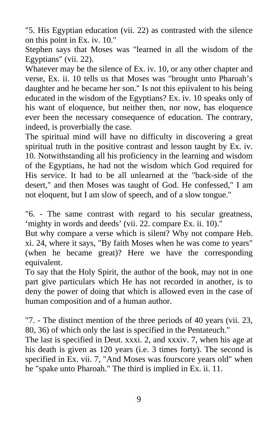"5. His Egyptian education (vii. 22) as contrasted with the silence on this point in Ex. iv. 10."

Stephen says that Moses was "learned in all the wisdom of the Egyptians" (vii. 22).

Whatever may be the silence of Ex. iv. 10, or any other chapter and verse, Ex. ii. 10 tells us that Moses was "brought unto Pharoah's daughter and he became her son." Is not this epiivalent to his being educated in the wisdom of the Egyptians? Ex. iv. 10 speaks only of his want of eloquence, but neither then, nor now, has eloquence ever been the necessary consequence of education. The contrary, indeed, is proverbially the case.

The spiritual mind will have no difficulty in discovering a great spiritual truth in the positive contrast and lesson taught by Ex. iv. 10. Notwithstanding all his proficiency in the learning and wisdom of the Egyptians, he had not the wisdom which God required for His service. It had to be all unlearned at the "back-side of the desert," and then Moses was taught of God. He confessed," I am not eloquent, but I am slow of speech, and of a slow tongue."

"6. - The same contrast with regard to his secular greatness, 'mighty in words and deeds' (vii. 22. compare Ex. ii. 10)."

But why compare a verse which is silent? Why not compare Heb. xi. 24, where it says, "By faith Moses when he was come to years" (when he became great)? Here we have the corresponding equivalent.

To say that the Holy Spirit, the author of the book, may not in one part give particulars which He has not recorded in another, is to deny the power of doing that which is allowed even in the case of human composition and of a human author.

"7. - The distinct mention of the three periods of 40 years (vii. 23, 80, 36) of which only the last is specified in the Pentateuch."

The last is specified in Deut. xxxi. 2, and xxxiv. 7, when his age at his death is given as 120 years (i.e. 3 times forty). The second is specified in Ex. vii. 7, "And Moses was fourscore years old" when he "spake unto Pharoah." The third is implied in Ex. ii. 11.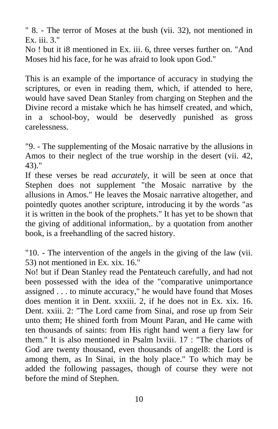" 8. - The terror of Moses at the bush (vii. 32), not mentioned in Ex. iii. 3."

No ! but it i8 mentioned in Ex. iii. 6, three verses further on. "And Moses hid his face, for he was afraid to look upon God."

This is an example of the importance of accuracy in studying the scriptures, or even in reading them, which, if attended to here, would have saved Dean Stanley from charging on Stephen and the Divine record a mistake which he has himself created, and which, in a school-boy, would be deservedly punished as gross carelessness.

"9. - The supplementing of the Mosaic narrative by the allusions in Amos to their neglect of the true worship in the desert (vii. 42, 43)."

If these verses be read *accurately*, it will be seen at once that Stephen does not supplement "the Mosaic narrative by the allusions in Amos." He leaves the Mosaic narrative altogether, and pointedly quotes another scripture, introducing it by the words "as it is written in the book of the prophets." It has yet to be shown that the giving of additional information,. by a quotation from another book, is a freehandling of the sacred history.

"10. - The intervention of the angels in the giving of the law (vii. 53) not mentioned in Ex. xix. 16."

No! but if Dean Stanley read the Pentateuch carefully, and had not been possessed with the idea of the "comparative unimportance assigned . . . to minute accuracy," he would have found that Moses does mention it in Dent. xxxiii. 2, if he does not in Ex. xix. 16. Dent. xxiii. 2: "The Lord came from Sinai, and rose up from Seir unto them; He shined forth from Mount Paran, and He came with ten thousands of saints: from His right hand went a fiery law for them." It is also mentioned in Psalm lxviii. 17 : "The chariots of God are twenty thousand, even thousands of angel8: the Lord is among them, as In Sinai, in the holy place." To which may be added the following passages, though of course they were not before the mind of Stephen.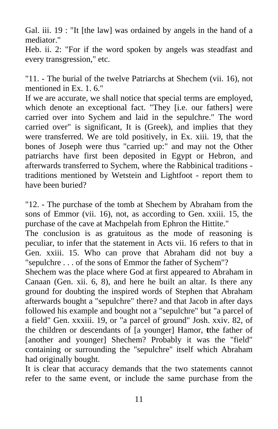Gal. iii. 19 : "It [the law] was ordained by angels in the hand of a mediator."

Heb. ii. 2: "For if the word spoken by angels was steadfast and every transgression," etc.

"11. - The burial of the twelve Patriarchs at Shechem (vii. 16), not mentioned in Ex. 1. 6."

If we are accurate, we shall notice that special terms are employed, which denote an exceptional fact. "They [i.e. our fathers] were carried over into Sychem and laid in the sepulchre." The word carried over" is significant, It is (Greek), and implies that they were transferred. We are told positively, in Ex. xiii. 19, that the bones of Joseph were thus "carried up:" and may not the Other patriarchs have first been deposited in Egypt or Hebron, and afterwards transferred to Sychem, where the Rabbinical traditions traditions mentioned by Wetstein and Lightfoot - report them to have been buried?

"12. - The purchase of the tomb at Shechem by Abraham from the sons of Emmor (vii. 16), not, as according to Gen. xxiii. 15, the purchase of the cave at Machpelah from Ephron the Hittite."

The conclusion is as gratuitous as the mode of reasoning is peculiar, to infer that the statement in Acts vii. 16 refers to that in Gen. xxiii. 15. Who can prove that Abraham did not buy a "sepulchre . . . of the sons of Emmor the father of Sychem"?

Shechem was the place where God at first appeared to Abraham in Canaan (Gen. xii. 6, 8), and here he built an altar. Is there any ground for doubting the inspired words of Stephen that Abraham afterwards bought a "sepulchre" there? and that Jacob in after days followed his example and bought not a "sepulchre" but "a parcel of a field" Gen. xxxiii. 19, or "a parcel of ground" Josh. xxiv. 82, of the children or descendants of [a younger] Hamor, **t**the father of [another and younger] Shechem? Probably it was the "field" containing or surrounding the "sepulchre" itself which Abraham had originally bought.

It is clear that accuracy demands that the two statements cannot refer to the same event, or include the same purchase from the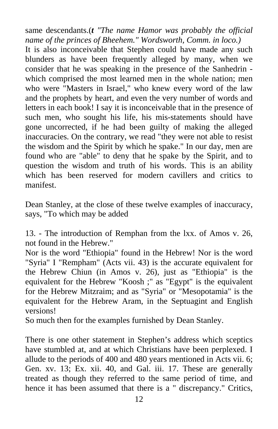same descendants.(*t "The name Hamor was probably the official name of the princes of Bheehem." Wordsworth, Comm. in loco.)* 

It is also inconceivable that Stephen could have made any such blunders as have been frequently alleged by many, when we consider that he was speaking in the presence of the Sanhedrin which comprised the most learned men in the whole nation; men who were "Masters in Israel," who knew every word of the law and the prophets by heart, and even the very number of words and letters in each book! I say it is inconceivable that in the presence of such men, who sought his life, his mis-statements should have gone uncorrected, if he had been guilty of making the alleged inaccuracies. On the contrary, we read "they were not able to resist the wisdom and the Spirit by which he spake." In our day, men are found who are "able" to deny that he spake by the Spirit, and to question the wisdom and truth of his words. This is an ability which has been reserved for modern cavillers and critics to manifest.

Dean Stanley, at the close of these twelve examples of inaccuracy, says, "To which may be added

13. - The introduction of Remphan from the lxx. of Amos v. 26, not found in the Hebrew."

Nor is the word "Ethiopia" found in the Hebrew! Nor is the word "Syria" I "Rempham" (Acts vii. 43) is the accurate equivalent for the Hebrew Chiun (in Amos v. 26), just as "Ethiopia" is the equivalent for the Hebrew "Koosh ;" as "Egypt" is the equivalent for the Hebrew Mitzraim; and as "Syria" or "Mesopotamia" is the equivalent for the Hebrew Aram, in the Septuagint and English versions!

So much then for the examples furnished by Dean Stanley.

There is one other statement in Stephen's address which sceptics have stumbled at, and at which Christians have been perplexed. I allude to the periods of 400 and 480 years mentioned in Acts vii. 6; Gen. xv. 13; Ex. xii. 40, and Gal. iii. 17. These are generally treated as though they referred to the same period of time, and hence it has been assumed that there is a " discrepancy." Critics,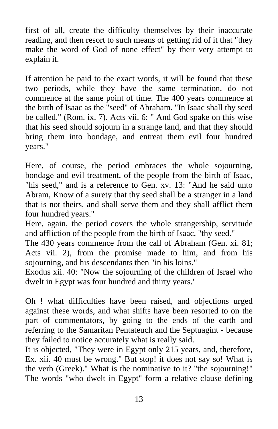first of all, create the difficulty themselves by their inaccurate reading, and then resort to such means of getting rid of it that "they make the word of God of none effect" by their very attempt to explain it.

If attention be paid to the exact words, it will be found that these two periods, while they have the same termination, do not commence at the same point of time. The 400 years commence at the birth of Isaac as the "seed" of Abraham. "In Isaac shall thy seed be called." (Rom. ix. 7). Acts vii. 6: " And God spake on this wise that his seed should sojourn in a strange land, and that they should bring them into bondage, and entreat them evil four hundred years."

Here, of course, the period embraces the whole sojourning, bondage and evil treatment, of the people from the birth of Isaac, "his seed," and is a reference to Gen. xv. 13: "And he said unto Abram, Know of a surety that thy seed shall be a stranger in a land that is not theirs, and shall serve them and they shall afflict them four hundred years."

Here, again, the period covers the whole strangership, servitude and affliction of the people from the birth of Isaac, "thy seed."

The 430 years commence from the call of Abraham (Gen. xi. 81; Acts vii. 2), from the promise made to him, and from his sojourning, and his descendants then "in his loins."

Exodus xii. 40: "Now the sojourning of the children of Israel who dwelt in Egypt was four hundred and thirty years."

Oh ! what difficulties have been raised, and objections urged against these words, and what shifts have been resorted to on the part of commentators, by going to the ends of the earth and referring to the Samaritan Pentateuch and the Septuagint - because they failed to notice accurately what is really said.

It is objected, "They were in Egypt only 215 years, and, therefore, Ex. xii. 40 must be wrong." But stop! it does not say so! What is the verb (Greek)." What is the nominative to it? "the sojourning!" The words "who dwelt in Egypt" form a relative clause defining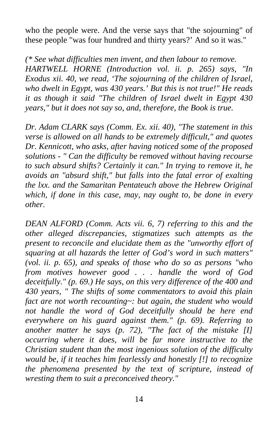who the people were. And the verse says that "the sojourning" of these people "was four hundred and thirty years?' And so it was."

*(\* See what difficulties men invent, and then labour to remove. HARTWELL HORNE (Introduction vol. ii. p. 265) says, "In Exodus xii. 40, we read, 'The sojourning of the children of Israel, who dwelt in Egypt, was 430 years.' But this is not true!" He reads it as though it said "The children of Israel dwelt in Egypt 430 years," but it does not say so, and, therefore, the Book is true.* 

*Dr. Adam CLARK says (Comm. Ex. xii. 40), "The statement in this verse is allowed on all hands to be extremely difficult," and quotes Dr. Kennicott, who asks, after having noticed some of the proposed solutions - " Can the difficulty be removed without having recourse to such absurd shifts? Certainly it can." In trying to remove it, he avoids an "absurd shift," but falls into the fatal error of exalting the lxx. and the Samaritan Pentateuch above the Hebrew Original which, if done in this case, may, nay ought to, be done in every other.* 

*DEAN ALFORD (Comm. Acts vii. 6, 7) referring to this and the other alleged discrepancies, stigmatizes such attempts as the present to reconcile and elucidate them as the "unworthy effort of squaring at all hazards the letter of God's word in such matters" (vol. ii. p. 65), and speaks of those who do so as persons "who from motives however good . . . handle the word of God deceitfully." (p. 69.) He says, on this very difference of the 400 and 430 years, " The shifts of some commentators to avoid this plain fact are not worth recounting~: but again, the student who would not handle the word of God deceitfully should be here end everywhere on his guard against them." (p. 69). Referring to another matter he says (p. 72), "The fact of the mistake [I] occurring where it does, will be far more instructive to the Christian student than the most ingenious solution of the difficulty would be, if it teaches him fearlessly and honestly [!] to recognize the phenomena presented by the text of scripture, instead of wresting them to suit a preconceived theory."*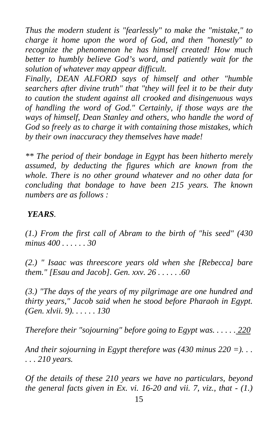*Thus the modern student is "fearlessly" to make the "mistake," to charge it home upon the word of God, and then "honestly" to recognize the phenomenon he has himself created! How much better to humbly believe God's word, and patiently wait for the solution of whatever may appear difficult.* 

*Finally, DEAN ALFORD says of himself and other "humble searchers after divine truth" that "they will feel it to be their duty to caution the student against all crooked and disingenuous ways of handling the word of God." Certainly, if those ways are the ways of himself, Dean Stanley and others, who handle the word of God so freely as to charge it with containing those mistakes, which by their own inaccuracy they themselves have made!* 

*\*\* The period of their bondage in Egypt has been hitherto merely assumed, by deducting the figures which are known from the whole. There is no other ground whatever and no other data for concluding that bondage to have been 215 years. The known numbers are as follows :* 

## *YEARS.*

*(1.) From the first call of Abram to the birth of "his seed" (430 minus 400 . . . . . . 30* 

*(2.) " Isaac was threescore years old when she [Rebecca] bare them." [Esau and Jacob]. Gen. xxv. 26 . . . . . .60* 

*(3.) "The days of the years of my pilgrimage are one hundred and thirty years," Jacob said when he stood before Pharaoh in Egypt. (Gen. xlvii. 9). . . . . . 130* 

*Therefore their "sojourning" before going to Egypt was. . . . . . 220* 

And their sojourning in Egypt therefore was  $(430 \text{ minus } 220 =)$ ... *. . . 210 years.* 

*Of the details of these 210 years we have no particulars, beyond the general facts given in Ex. vi. 16-20 and vii. 7, viz., that - (1.)*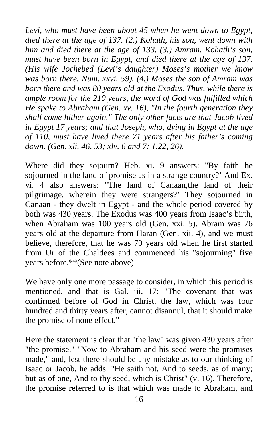*Levi, who must have been about 45 when he went down to Egypt, died there at the age of 137. (2.) Kohath, his son, went down with him and died there at the age of 133. (3.) Amram, Kohath's son, must have been born in Egypt, and died there at the age of 137. (His wife Jochebed (Levi's daughter) Moses's mother we know was born there. Num. xxvi. 59). (4.) Moses the son of Amram was born there and was 80 years old at the Exodus. Thus, while there is ample room for the 210 years, the word of God was fulfilled which He spake to Abraham (Gen. xv. 16), "In the fourth generation they shall come hither again." The only other facts are that Jacob lived in Egypt 17 years; and that Joseph, who, dying in Egypt at the age of 110, must have lived there 71 years after his father's coming down. (Gen. xli. 46, 53; xlv. 6 and 7; 1.22, 26).* 

Where did they sojourn? Heb. xi. 9 answers: "By faith he sojourned in the land of promise as in a strange country?' And Ex. vi. 4 also answers: "The land of Canaan,the land of their pilgrimage, wherein they were strangers?' They sojourned in Canaan - they dwelt in Egypt - and the whole period covered by both was 430 years. The Exodus was 400 years from Isaac's birth, when Abraham was 100 years old (Gen. xxi. 5). Abram was 76 years old at the departure from Haran (Gen. xii. 4), and we must believe, therefore, that he was 70 years old when he first started from Ur of the Chaldees and commenced his "sojourning" five years before.\*\*(See note above)

We have only one more passage to consider, in which this period is mentioned, and that is Gal. iii. 17: "The covenant that was confirmed before of God in Christ, the law, which was four hundred and thirty years after, cannot disannul, that it should make the promise of none effect."

Here the statement is clear that "the law" was given 430 years after "the promise." "Now to Abraham and his seed were the promises made," and, lest there should be any mistake as to our thinking of Isaac or Jacob, he adds: "He saith not, And to seeds, as of many; but as of one, And to thy seed, which is Christ" (v. 16). Therefore, the promise referred to is that which was made to Abraham, and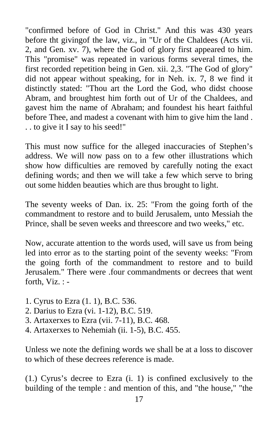"confirmed before of God in Christ." And this was 430 years before tht givingof the law, viz., in "Ur of the Chaldees (Acts vii. 2, and Gen. xv. 7), where the God of glory first appeared to him. This "promise" was repeated in various forms several times, the first recorded repetition being in Gen. xii. 2,3. "The God of glory" did not appear without speaking, for in Neh. ix. 7, 8 we find it distinctly stated: "Thou art the Lord the God, who didst choose Abram, and broughtest him forth out of Ur of the Chaldees, and gavest him the name of Abraham; and foundest his heart faithful before Thee, and madest a covenant with him to give him the land . . . to give it I say to his seed!"

This must now suffice for the alleged inaccuracies of Stephen's address. We will now pass on to a few other illustrations which show how difficulties are removed by carefully noting the exact defining words; and then we will take a few which serve to bring out some hidden beauties which are thus brought to light.

The seventy weeks of Dan. ix. 25: "From the going forth of the commandment to restore and to build Jerusalem, unto Messiah the Prince, shall be seven weeks and threescore and two weeks," etc.

Now, accurate attention to the words used, will save us from being led into error as to the starting point of the seventy weeks: "From the going forth of the commandment to restore and to build Jerusalem." There were .four commandments or decrees that went forth, Viz. : -

- 1. Cyrus to Ezra (1. 1), B.C. 536.
- 2. Darius to Ezra (vi. 1-12), B.C. 519.
- 3. Artaxerxes to Ezra (vii. 7-11), B.C. 468.
- 4. Artaxerxes to Nehemiah (ii. 1-5), B.C. 455.

Unless we note the defining words we shall be at a loss to discover to which of these decrees reference is made.

(1.) Cyrus's decree to Ezra (i. 1) is confined exclusively to the building of the temple : and mention of this, and "the house," "the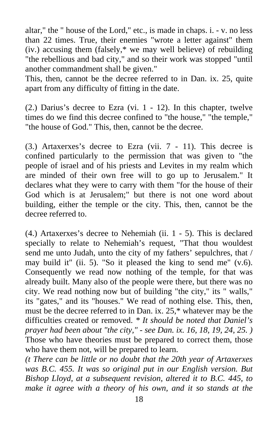altar," the " house of the Lord," etc., is made in chaps. i. - v. no less than 22 times. True, their enemies "wrote a letter against" them (iv.) accusing them (falsely,\* we may well believe) of rebuilding "the rebellious and bad city," and so their work was stopped "until another commandment shall be given."

This, then, cannot be the decree referred to in Dan. ix. 25, quite apart from any difficulty of fitting in the date.

(2.) Darius's decree to Ezra (vi. 1 - 12). In this chapter, twelve times do we find this decree confined to "the house," "the temple," "the house of God." This, then, cannot be the decree.

(3.) Artaxerxes's decree to Ezra (vii. 7 - 11). This decree is confined particularly to the permission that was given to "the people of israel and of his priests and Levites in my realm which are minded of their own free will to go up to Jerusalem." It declares what they were to carry with them "for the house of their God which is at Jerusalem;" but there is not one word about building, either the temple or the city. This, then, cannot be the decree referred to.

(4.) Artaxerxes's decree to Nehemiah (ii. 1 - 5). This is declared specially to relate to Nehemiah's request, "That thou wouldest send me unto Judah, unto the city of my fathers' sepulchres, that / may build it" (ii. 5). "So it pleased the king to send me" (v.6). Consequently we read now nothing of the temple, for that was already built. Many also of the people were there, but there was no city. We read nothing now but of building "the city," its " walls," its "gates," and its "houses." We read of nothing else. This, then, must be the decree referred to in Dan. ix. 25,\* whatever may be the difficulties created or removed. *\* It should be noted that Daniel's prayer had been about "the city," - see Dan. ix. 16, 18, 19, 24, 25. )* Those who have theories must be prepared to correct them, those who have them not, will be prepared to learn.

*(t There can be little or no doubt that the 20th year of Artaxerxes was B.C. 455. It was so original put in our English version. But Bishop Lloyd, at a subsequent revision, altered it to B.C. 445, to make it agree with a theory of his own, and it so stands at the*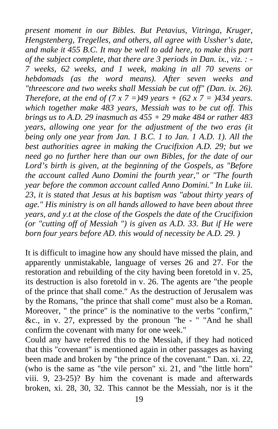*present moment in our Bibles. But Petavius, Vitringa, Kruger, Hengstenberg, Tregelles, and others, all agree with Ussher's date, and make it 455 B.C. It may be well to add here, to make this part of the subject complete, that there are 3 periods in Dan. ix., viz. : - 7 weeks, 62 weeks, and 1 week, making in all 70 sevens or hebdomads (as the word means). After seven weeks and "threescore and two weeks shall Messiah be cut off" (Dan. ix. 26). Therefore, at the end of (7 x 7 = )49 years + (62 x 7 = )434 years. which together make 483 years, Messiah was to be cut off. This brings us to A.D. 29 inasmuch as 455 + 29 make 484 or rather 483 years, allowing one year for the adjustment of the two eras (it being only one year from Jan. 1 B.C. 1 to Jan. 1 A.D. 1). All the best authorities agree in making the Crucifixion A.D. 29; but we need go no further here than our own Bibles, for the date of our Lord's birth is given, at the beginning of the Gospels, as "Before the account called Auno Domini the fourth year," or "The fourth year before the common account called Anno Domini." In Luke iii. 23, it is stated that Jesus at his baptism was "about thirty years of age." His ministry is on all hands allowed to have been about three years, and y.t at the close of the Gospels the date of the Crucifixion (or "cutting off of Messiah ") is given as A.D. 33. But if He were born four years before AD. this would of necessity be A.D. 29.* )

It is difficult to imagine how any should have missed the plain, and apparently unmistakable, language of verses 26 and 27. For the restoration and rebuilding of the city having been foretold in v. 25, its destruction is also foretold in v. 26. The agents are "the people of the prince that shall come." As the destruction of Jerusalem was by the Romans, "the prince that shall come" must also be a Roman. Moreover, " the prince" is the nominative to the verbs "confirm," &c., in v. 27, expressed by the pronoun "he - " "And he shall confirm the covenant with many for one week."

Could any have referred this to the Messiah, if they had noticed that this "covenant" is mentioned again in other passages as having been made and broken by "the prince of the covenant." Dan. xi. 22, (who is the same as "the vile person" xi. 21, and "the little horn" viii. 9, 23-25)? By him the covenant is made and afterwards broken, xi. 28, 30, 32. This cannot be the Messiah, nor is it the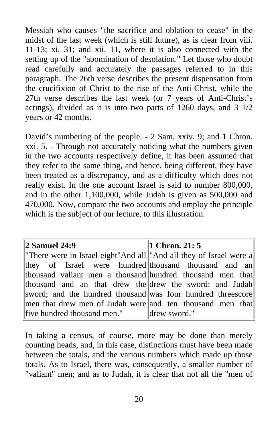Messiah who causes "the sacrifice and oblation to cease" in the midst of the last week (which is still future), as is clear from viii. 11-13; xi. 31; and xii. 11, where it is also connected with the setting up of the "abomination of desolation." Let those who doubt read carefully and accurately the passages referred to in this paragraph. The 26th verse describes the present dispensation from the crucifixion of Christ to the rise of the Anti-Christ, while the 27th verse describes the last week (or 7 years of Anti-Christ's actings), divided as it is into two parts of 1260 days, and 3 1/2 years or 42 months.

David's numbering of the people. - 2 Sam. xxiv. 9; and 1 Chron. xxi. 5. - Through not accurately noticing what the numbers given in the two accounts respectively define, it has been assumed that they refer to the same thing, and hence, being different, they have been treated as a discrepancy, and as a difficulty which does not really exist. In the one account Israel is said to number 800,000, and in the other 1,100,000, while Judah is given as 500,000 and 470,000. Now, compare the two accounts and employ the principle which is the subject of our lecture, to this illustration.

| <b>2 Samuel 24:9</b>                                               | 1 Chron. $21:5$ |
|--------------------------------------------------------------------|-----------------|
| "There were in Israel eight"And all "And all they of Israel were a |                 |
| they of Israel were hundred thousand thousand and an               |                 |
| thousand valiant men a thousand hundred thousand men that          |                 |
| thousand and an that drew the drew the sword: and Judah            |                 |
| sword; and the hundred thousand was four hundred threescore        |                 |
| men that drew men of Judah were and ten thousand men that          |                 |
| five hundred thousand men."                                        | drew sword."    |

In taking a census, of course, more may be done than merely counting heads, and, in this case, distinctions must have been made between the totals, and the various numbers which made up those totals. As to Israel, there was, consequently, a smaller number of "valiant" men; and as to Judah, it is clear that not all the "men of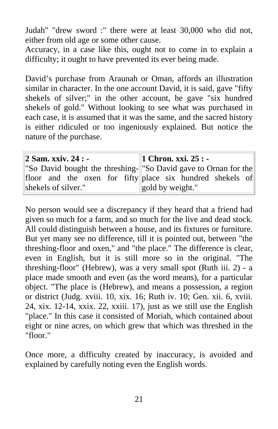Judah" "drew sword :" there were at least 30,000 who did not, either from old age or some other cause.

Accuracy, in a case like this, ought not to come in to explain a difficulty; it ought to have prevented its ever being made.

David's purchase from Araunah or Oman, affords an illustration similar in character. In the one account David, it is said, gave "fifty shekels of silver;" in the other account, he gave "six hundred shekels of gold." Without looking to see what was purchased in each case, it is assumed that it was the same, and the sacred history is either ridiculed or too ingeniously explained. But notice the nature of the purchase.

| 2 Sam. xxiv. 24 : -                                                          | 1 Chron. xxi. $25: -$ |
|------------------------------------------------------------------------------|-----------------------|
| "So David bought the threshing- <sup> </sup> "So David gave to Ornan for the |                       |
| floor and the oxen for fifty place six hundred shekels of                    |                       |
| gold by weight."<br>shekels of silver."                                      |                       |

No person would see a discrepancy if they heard that a friend had given so much for a farm, and so much for the live and dead stock. All could distinguish between a house, and its fixtures or furniture. But yet many see no difference, till it is pointed out, between "the threshing-floor and oxen," and "the place." The difference is clear, even in English, but it is still more so in the original. "The threshing-floor" (Hebrew), was a very small spot (Ruth iii. 2) - a place made smooth and even (as the word means), for a particular object. "The place is (Hebrew), and means a possession, a region or district (Judg. xviii. 10, xix. 16; Ruth iv. 10; Gen. xii. 6, xviii. 24, xix. 12-14, xxix. 22, xxiii. 17), just as we still use the English "place." In this case it consisted of Moriah, which contained about eight or nine acres, on which grew that which was threshed in the "floor."

Once more, a difficulty created by inaccuracy, is avoided and explained by carefully noting even the English words.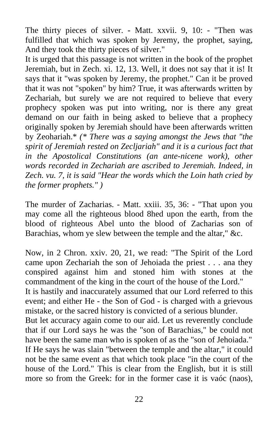The thirty pieces of silver. **-** Matt. xxvii. 9, 10: - "Then was fulfilled that which was spoken by Jeremy, the prophet, saying, And they took the thirty pieces of silver."

It is urged that this passage is not written in the book of the prophet Jeremiah, but in Zech. xi. 12, 13. Well, it does not say that it is! It says that it "was spoken by Jeremy, the prophet." Can it be proved that it was not "spoken" by him? True, it was afterwards written by Zechariah, but surely we are not required to believe that every prophecy spoken was put into writing, nor is there any great demand on our faith in being asked to believe that a prophecy originally spoken by Jeremiah should have been afterwards written by Zeohariah.\* *(\* There was a saying amongst the Jews that "the spirit of Jeremiah rested on Zecljariah" and it is a curious fact that in the Apostolical Constitutions (an ante-nicene work), other words recorded in Zechariah are ascribed to Jeremiah. Indeed, in Zech. vu. 7, it is said "Hear the words which the Loin hath cried by the former prophets." )* 

The murder of Zacharias. - Matt. xxiii. 35, 36: - "That upon you may come all the righteous blood 8hed upon the earth, from the blood of righteous Abel unto the blood of Zacharias son of Barachias, whom ye slew between the temple and the altar," &c.

Now, in 2 Chron. xxiv. 20, 21, we read: "The Spirit of the Lord came upon Zechariah the son of Jehoiada the priest . . . ana they conspired against him and stoned him with stones at the commandment of the king in the court of the house of the Lord." It is hastily and inaccurately assumed that our Lord referred to this event; and either He - the Son of God - is charged with a grievous mistake, or the sacred history is convicted of a serious blunder. But let accuracy again come to our aid. Let us reverently conclude that if our Lord says he was the "son of Barachias," be could not have been the same man who is spoken of as the "son of Jehoiada." If He says he was slain "between the temple and the altar," it could not be the same event as that which took place "in the court of the house of the Lord." This is clear from the English, but it is still more so from the Greek: for in the former case it is vaóc (naos),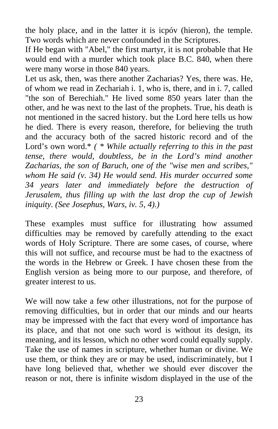the holy place, and in the latter it is icpóv (hieron), the temple. Two words which are never confounded in the Scriptures.

If He began with "Abel," the first martyr, it is not probable that He would end with a murder which took place B.C. 840, when there were many worse in those 840 years.

Let us ask, then, was there another Zacharias? Yes, there was. He, of whom we read in Zechariah i. 1, who is, there, and in i. 7, called "the son of Berechiah." He lived some 850 years later than the other, and he was next to the last of the prophets. True, his death is not mentioned in the sacred history. but the Lord here tells us how he died. There is every reason, therefore, for believing the truth and the accuracy both of the sacred historic record and of the Lord's own word.\* *( \* While actually referring to this in the past tense, there would, doubtless, be in the Lord's mind another Zacharias, the son of Baruch, one of the "wise men and scribes," whom He said (v. 34) He would send. His murder occurred some 34 years later and immediately before the destruction of Jerusalem, thus filling up with the last drop the cup of Jewish iniquity. (See Josephus, Wars, iv. 5, 4).)* 

These examples must suffice for illustrating how assumed difficulties may be removed by carefully attending to the exact words of Holy Scripture. There are some cases, of course, where this will not suffice, and recourse must be had to the exactness of the words in the Hebrew or Greek. I have chosen these from the English version as being more to our purpose, and therefore, of greater interest to us.

We will now take a few other illustrations, not for the purpose of removing difficulties, but in order that our minds and our hearts may be impressed with the fact that every word of importance has its place, and that not one such word is without its design, its meaning, and its lesson, which no other word could equally supply. Take the use of names in scripture, whether human or divine. We use them, or think they are or may be used, indiscriminately, but I have long believed that, whether we should ever discover the reason or not, there is infinite wisdom displayed in the use of the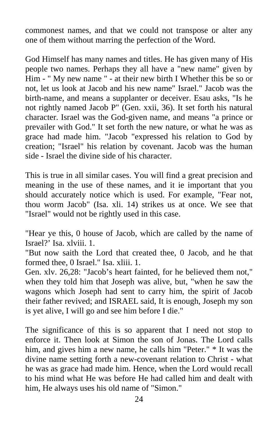commonest names, and that we could not transpose or alter any one of them without marring the perfection of the Word.

God Himself has many names and titles. He has given many of His people two names. Perhaps they all have a "new name" given by Him - " My new name " - at their new birth I Whether this be so or not, let us look at Jacob and his new name" Israel." Jacob was the birth-name, and means a supplanter or deceiver. Esau asks, "Is he not rightly named Jacob P" (Gen. xxii, 36). It set forth his natural character. Israel was the God-given name, and means "a prince or prevailer with God." It set forth the new nature, or what he was as grace had made him. "Jacob "expressed his relation to God by creation; "Israel" his relation by covenant. Jacob was the human side - Israel the divine side of his character.

This is true in all similar cases. You will find a great precision and meaning in the use of these names, and it ie important that you should accurately notice which is used. For example, "Fear not, thou worm Jacob" (Isa. xli. 14) strikes us at once. We see that "Israel" would not be rightly used in this case.

"Hear ye this, 0 house of Jacob, which are called by the name of Israel?' Isa. xlviii. 1.

"But now saith the Lord that created thee, 0 Jacob, and he that formed thee, 0 Israel." Isa. xliii. 1.

Gen. xlv. 26,28: "Jacob's heart fainted, for he believed them not," when they told him that Joseph was alive, but, "when he saw the wagons which Joseph had sent to carry him, the spirit of Jacob their father revived; and ISRAEL said, It is enough, Joseph my son is yet alive, I will go and see him before I die."

The significance of this is so apparent that I need not stop to enforce it. Then look at Simon the son of Jonas. The Lord calls him, and gives him a new name, he calls him "Peter." \* It was the divine name setting forth a new-covenant relation to Christ - what he was as grace had made him. Hence, when the Lord would recall to his mind what He was before He had called him and dealt with him, He always uses his old name of "Simon."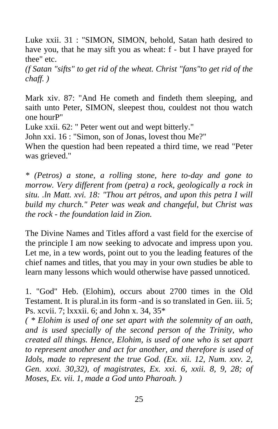Luke xxii. 31 : "SIMON, SIMON, behold, Satan hath desired to have you, that he may sift you as wheat: f - but I have prayed for thee" etc.

*(f Satan "sifts" to get rid of the wheat. Christ "fans"to get rid of the chaff. )* 

Mark xiv. 87: "And He cometh and findeth them sleeping, and saith unto Peter, SIMON, sleepest thou, couldest not thou watch one hourP"

Luke xxii. 62: " Peter went out and wept bitterly."

John xxi. 16 : "Simon, son of Jonas, lovest thou Me?"

When the question had been repeated a third time, we read "Peter was grieved."

*\* (Petros) a stone, a rolling stone, here to-day and gone to morrow. Very different from (petra) a rock, geologically a rock in situ. .ln Matt. xvi. 18: "Thou art pétros, and upon this petra I will build my church." Peter was weak and changeful, but Christ was the rock - the foundation laid in Zion.* 

The Divine Names and Titles afford a vast field for the exercise of the principle I am now seeking to advocate and impress upon you. Let me, in a tew words, point out to you the leading features of the chief names and titles, that you may in your own studies be able to learn many lessons which would otherwise have passed unnoticed.

1. "God" Heb. (Elohim), occurs about 2700 times in the Old Testament. It is plural.in its form -and is so translated in Gen. iii. 5; Ps. xcvii. 7; lxxxii. 6; and John x. 34, 35\*

*( \* Elohim is used of one set apart with the solemnity of an oath, and is used specially of the second person of the Trinity, who created all things. Hence, Elohim, is used of one who is set apart to represent another and act for another, and therefore is used of Idols, made to represent the true God. (Ex. xii. 12, Num. xxv. 2, Gen. xxxi. 30,32), of magistrates, Ex. xxi. 6, xxii. 8, 9, 28; of Moses, Ex. vii. 1, made a God unto Pharoah. )*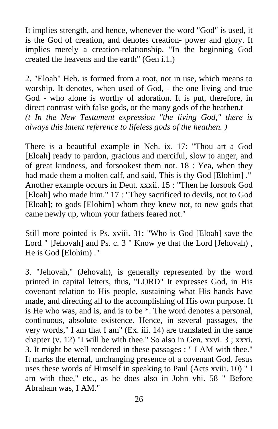It implies strength, and hence, whenever the word "God" is used, it is the God of creation, and denotes creation- power and glory. It implies merely a creation-relationship. "In the beginning God created the heavens and the earth" (Gen i.1.)

2. "Eloah" Heb. is formed from a root, not in use, which means to worship. It denotes, when used of God, - the one living and true God - who alone is worthy of adoration. It is put, therefore, in direct contrast with false gods, or the many gods of the heathen.t *(t In the New Testament expression "the living God," there is always this latent reference to lifeless gods of the heathen. )* 

There is a beautiful example in Neh. ix. 17: "Thou art a God [Eloah] ready to pardon, gracious and merciful, slow to anger, and of great kindness, and forsookest them not. 18 : Yea, when they had made them a molten calf, and said, This is thy God [Elohim] ." Another example occurs in Deut. xxxii. 15 : "Then he forsook God [Eloah] who made him." 17 : "They sacrificed to devils, not to God [Eloah]; to gods [Elohim] whom they knew not, to new gods that came newly up, whom your fathers feared not."

Still more pointed is Ps. xviii. 31: "Who is God [Eloah] save the Lord " [Jehovah] and Ps. c. 3 " Know ye that the Lord [Jehovah], He is God [Elohim) ."

3. "Jehovah," (Jehovah), is generally represented by the word printed in capital letters, thus, "LORD" It expresses God, in His covenant relation to His people, sustaining what His hands have made, and directing all to the accomplishing of His own purpose. It is He who was, and is, and is to be \*. The word denotes a personal, continuous, absolute existence. Hence, in several passages, the very words," I am that I am" (Ex. iii. 14) are translated in the same chapter (v. 12) "I will be with thee." So also in Gen. xxvi. 3 ; xxxi. 3. It might be well rendered in these passages : " I AM with thee." It marks the eternal, unchanging presence of a covenant God. Jesus uses these words of Himself in speaking to Paul (Acts xviii. 10) " I am with thee," etc., as he does also in John vhi. 58 " Before Abraham was, I AM."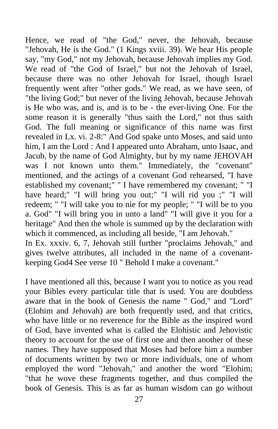Hence, we read of "the God," never, the Jehovah, because "Jehovah, He is the God." (1 Kings xviii. 39). We hear His people say, "my God," not my Jehovah, because Jehovah implies my God. We read of "the God of Israel," but not the Jehovah of Israel, because there was no other Jehovah for Israel, though Israel frequently went after "other gods." We read, as we have seen, of "the living God;" but never of the living Jehovah, because Jehovah is He who was, and is, and is to be - the ever-living One. For the some reason it is generally "thus saith the Lord," not thus saith God. The full meaning or significance of this name was first revealed in Lx. vi. 2-8:" And God spake unto Moses, and said unto him, I am the Lord : And I appeared unto Abraham, unto Isaac, and Jacub, by the name of God Almighty, but by my name JEHOVAH was I not known unto them." Immediately, the "covenant" mentioned, and the actings of a covenant God rehearsed, "I have established my covenant;" " I have remembered my covenant; " "I have heard;" "I will bring you out;" "I will rid you ;" "I will redeem; " "I will take you to nie for my people; " "I will be to you a. God" "I will bring you in unto a land" "I will give it you for a heritage" And then the whole is summed up by the declaration with which it commenced, as including all beside, "I am Jehovah."

In Ex. xxxiv. 6, 7, Jehovah still further "proclaims Jehovah," and gives twelve attributes, all included in the name of a covenantkeeping God4 See verse 10 " Behold I make a covenant."

I have mentioned all this, because I want you to notice as you read your Bibles every particular title that is used. You are doubtless aware that in the book of Genesis the name " God," and "Lord" (Elohim and Jehovah) are both frequently used, and that critics, who have little or no reverence for the Bible as the inspired word of God, have invented what is called the Elohistic and Jehovistic theory to account for the use of first one and then another of these names. They have supposed that Moses had before him a number of documents written by two or more individuals, one of whom employed the word "Jehovah," and another the word "Elohim; "that he wove these fragments together, and thus compiled the book of Genesis. This is as far as human wisdom can go without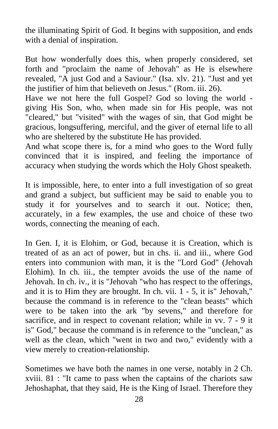the illuminating Spirit of God. It begins with supposition, and ends with a denial of inspiration.

But how wonderfully does this, when properly considered, set forth and "proclaim the name of Jehovah" as He is elsewhere revealed, "A just God and a Saviour." (Isa. xlv. 21). "Just and yet the justifier of him that believeth on Jesus." (Rom. iii. 26).

Have we not here the full Gospel? God so loving the world giving His Son, who, when made sin for His people, was not "cleared," but "visited" with the wages of sin, that God might be gracious, longsuffering, merciful, and the giver of eternal life to all who are sheltered by the substitute He has provided.

And what scope there is, for a mind who goes to the Word fully convinced that it is inspired, and feeling the importance of accuracy when studying the words which the Holy Ghost speaketh.

It is impossible, here, to enter into a full investigation of so great and grand a subject, but sufficient may be said to enable you to study it for yourselves and to search it out. Notice; then, accurately, in a few examples, the use and choice of these two words, connecting the meaning of each.

In Gen. I, it is Elohim, or God, because it is Creation, which is treated of as an act of power, but in chs. ii. and iii., where God enters into communion with man, it is the "Lord God" (Jehovah Elohim). In ch. iii., the tempter avoids the use of the name of Jehovah. In ch. iv., it is "Jehovah "who has respect to the offerings, and it is to Him they are brought. In ch. vii. 1 - 5, it is" Jehovah," because the command is in reference to the "clean beasts" which were to be taken into the ark "by sevens," and therefore for sacrifice, and in respect to covenant relation; while in vv. 7 - 9 it is" God," because the command is in reference to the "unclean," as well as the clean, which "went in two and two," evidently with a view merely to creation-relationship.

Sometimes we have both the names in one verse, notably in 2 Ch. xviii. 81 : "It came to pass when the captains of the chariots saw Jehoshaphat, that they said, He is the King of Israel. Therefore they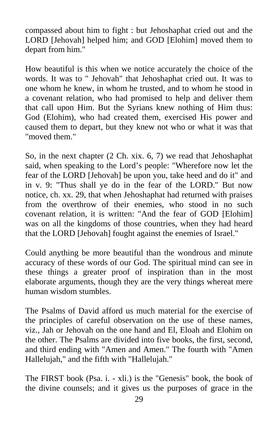compassed about him to fight : but Jehoshaphat cried out and the LORD [Jehovah] helped him; and GOD [Elohim] moved them to depart from him."

How beautiful is this when we notice accurately the choice of the words. It was to " Jehovah" that Jehoshaphat cried out. It was to one whom he knew, in whom he trusted, and to whom he stood in a covenant relation, who had promised to help and deliver them that call upon Him. But the Syrians knew nothing of Him thus: God (Elohim), who had created them, exercised His power and caused them to depart, but they knew not who or what it was that "moved them."

So, in the next chapter (2 Ch. xix. 6, 7) we read that Jehoshaphat said, when speaking to the Lord's people: "Wherefore now let the fear of the LORD [Jehovah] be upon you, take heed and do it" and in v. 9: "Thus shall ye do in the fear of the LORD." But now notice, ch. xx. 29, that when Jehoshaphat had returned with praises from the overthrow of their enemies, who stood in no such covenant relation, it is written: "And the fear of GOD [Elohim] was on all the kingdoms of those countries, when they had heard that the LORD [Jehovah] fought against the enemies of Israel."

Could anything be more beautiful than the wondrous and minute accuracy of these words of our God. The spiritual mind can see in these things a greater proof of inspiration than in the most elaborate arguments, though they are the very things whereat mere human wisdom stumbles.

The Psalms of David afford us much material for the exercise of the principles of careful observation on the use of these names, viz., Jah or Jehovah on the one hand and El, Eloah and Elohim on the other. The Psalms are divided into five books, the first, second, and third ending with "Amen and Amen." The fourth with "Amen Hallelujah," and the fifth with "Hallelujah."

The FIRST book (Psa. i. - xli.) is the "Genesis" book, the book of the divine counsels; and it gives us the purposes of grace in the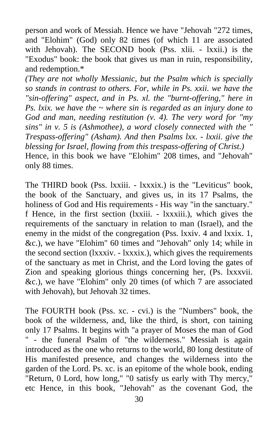person and work of Messiah. Hence we have "Jehovah "272 times, and "Elohim" (God) only 82 times (of which 11 are associated with Jehovah). The SECOND book (Pss. xlii. - lxxii.) is the "Exodus" book: the book that gives us man in ruin, responsibility, and redemption.\*

*(They are not wholly Messianic, but the Psalm which is specially so stands in contrast to others. For, while in Ps. xxii. we have the "sin-offering" aspect, and in Ps. xl. the "burnt-offering," here in Ps. lxix. we have the ~ where sin is regarded as an injury done to God and man, needing restitution (v. 4). The very word for "my sins" in v. 5 is (Ashmothee), a word closely connected with the " Trespass-offering" (Asham). And then Psalms lxx. - lxxii. give the blessing for Israel, flowing from this trespass-offering of Christ.)*  Hence, in this book we have "Elohim" 208 times, and "Jehovah" only 88 times.

The THIRD book (Pss. lxxiii. - lxxxix.) is the "Leviticus" book, the book of the Sanctuary, and gives us, in its 17 Psalms, the holiness of God and His requirements - His way "in the sanctuary." f Hence, in the first section (lxxiii. - lxxxiii.), which gives the requirements of the sanctuary in relation to man (Israel), and the enemy in the midst of the congregation (Pss. lxxiv. 4 and lxxix. 1, &c.), we have "Elohim" 60 times and "Jehovah" only 14; while in the second section (lxxxiv. - lxxxix.), which gives the requirements of the sanctuary as met in Christ, and the Lord loving the gates of Zion and speaking glorious things concerning her, (Ps. lxxxvii. &c.), we have "Elohim" only 20 times (of which 7 are associated with Jehovah), but Jehovah 32 times.

The FOURTH book (Pss. xc. - cvi.) is the "Numbers" book, the book of the wilderness, and, like the third, is short, con taining only 17 Psalms. It begins with "a prayer of Moses the man of God - the funeral Psalm of "the wilderness." Messiah is again introduced as the one who returns to the world, 80 long destitute of His manifested presence, and changes the wilderness into the garden of the Lord. Ps. xc. is an epitome of the whole book, ending "Return, 0 Lord, how long," "0 satisfy us early with Thy mercy," etc Hence, in this book, "Jehovah" as the covenant God, the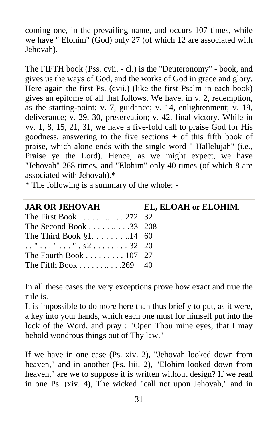coming one, in the prevailing name, and occurs 107 times, while we have " Elohim" (God) only 27 (of which 12 are associated with Jehovah).

The FIFTH book (Pss. cvii. - cl.) is the "Deuteronomy" - book, and gives us the ways of God, and the works of God in grace and glory. Here again the first Ps. (cvii.) (like the first Psalm in each book) gives an epitome of all that follows. We have, in v. 2, redemption, as the starting-point; v. 7, guidance; v. 14, enlightenment; v. 19, deliverance; v. 29, 30, preservation; v. 42, final victory. While in vv. 1, 8, 15, 21, 31, we have a five-fold call to praise God for His goodness, answering to the five sections  $+$  of this fifth book of praise, which alone ends with the single word " Hallelujah" (i.e., Praise ye the Lord). Hence, as we might expect, we have "Jehovah" 268 times, and "Elohim" only 40 times (of which 8 are associated with Jehovah).\*

\* The following is a summary of the whole: -

| <b>JAR OR JEHOVAH</b>            | EL, ELOAH or ELOHIM. |
|----------------------------------|----------------------|
| The First Book 272 32            |                      |
| The Second Book 33 208           |                      |
| The Third Book $\S1$ 14 60       |                      |
| $\ldots$ """ $\frac{1}{2}$ 32 20 |                      |
| The Fourth Book 107 27           |                      |
| The Fifth Book $269$ 40          |                      |

In all these cases the very exceptions prove how exact and true the rule is.

It is impossible to do more here than thus briefly to put, as it were, a key into your hands, which each one must for himself put into the lock of the Word, and pray : "Open Thou mine eyes, that I may behold wondrous things out of Thy law."

If we have in one case (Ps. xiv. 2), "Jehovah looked down from heaven," and in another (Ps. liii. 2), "Elohim looked down from heaven," are we to suppose it is written without design? If we read in one Ps. (xiv. 4), The wicked "call not upon Jehovah," and in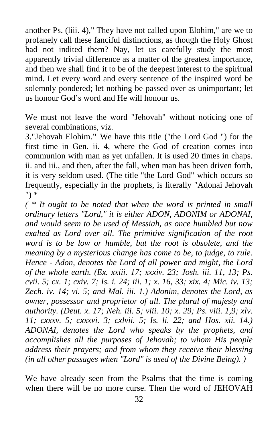another Ps. (liii. 4)," They have not called upon Elohim," are we to profanely call these fanciful distinctions, as though the Holy Ghost had not indited them? Nay, let us carefully study the most apparently trivial difference as a matter of the greatest importance, and then we shall find it to be of the deepest interest to the spiritual mind. Let every word and every sentence of the inspired word be solemnly pondered; let nothing be passed over as unimportant; let us honour God's word and He will honour us.

We must not leave the word "Jehovah" without noticing one of several combinations, viz.

3."Jehovah Elohim.**"** We have this title ("the Lord God ") for the first time in Gen. ii. 4, where the God of creation comes into communion with man as yet unfallen. It is used 20 times in chaps. ii. and iii., and then, after the fall, when man has been driven forth, it is very seldom used. (The title "the Lord God" which occurs so frequently, especially in the prophets, is literally "Adonai Jehovah ") \*

*( \* It ought to be noted that when the word is printed in small ordinary letters "Lord," it is either ADON, ADONIM or ADONAI, and would seem to be used of Messiah, as once humbled but now exalted as Lord over all. The primitive signification of the root word is to be low or humble, but the root is obsolete, and the meaning by a mysterious change has come to be, to judge, to rule. Hence - Adon, denotes the Lord of all power and might, the Lord of the whole earth. (Ex. xxiii. 17; xxxiv. 23; Josh. iii. 11, 13; Ps. cvii. 5; cx. 1; cxiv. 7; Is. i. 24; iii. 1; x. 16, 33; xix. 4; Mic. iv. 13; Zech. iv. 14; vi. 5; and Mal. iii. 1.) Adonim, denotes the Lord, as owner, possessor and proprietor of all. The plural of majesty and authority. (Deut. x. 17; Neh. iii. 5; viii. 10; x. 29; Ps. viii. 1,9; xlv. 11; cxxxv. 5; cxxxvi. 3; cxlvii. 5; Is. li. 22; and Hos. xii. 14.) ADONAI, denotes the Lord who speaks by the prophets, and accomplishes all the purposes of Jehovah; to whom His people address their prayers; and from whom they receive their blessing (in all other passages when "Lord" is used of the Divine Being). )* 

We have already seen from the Psalms that the time is coming when there will be no more curse. Then the word of JEHOVAH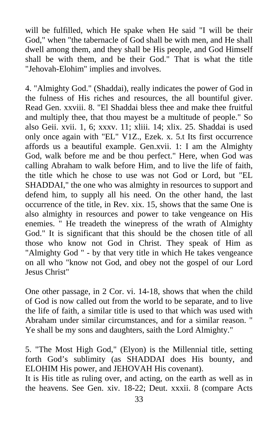will be fulfilled, which He spake when He said "I will be their God," when "the tabernacle of God shall be with men, and He shall dwell among them, and they shall be His people, and God Himself shall be with them, and be their God." That is what the title "Jehovah-Elohim" implies and involves.

4. "Almighty God." (Shaddai), really indicates the power of God in the fulness of His riches and resources, the all bountiful giver. Read Gen. xxviii. 8. "El Shaddai bless thee and make thee fruitful and multiply thee, that thou mayest be a multitude of people." So also Geii. xvii. 1, 6; xxxv. 11; xliii. 14; xlix. 25. Shaddai is used only once again with "EL" V1Z., Ezek. x. 5.t Its first occurrence affords us a beautiful example. Gen.xvii. 1: I am the Almighty God, walk before me and be thou perfect." Here, when God was calling Abraham to walk before Him, and to live the life of faith, the title which he chose to use was not God or Lord, but "EL SHADDAI," the one who was almighty in resources to support and defend him, to supply all his need. On the other hand, the last occurrence of the title, in Rev. xix. 15, shows that the same One is also almighty in resources and power to take vengeance on His enemies. " He treadeth the winepress of the wrath of Almighty God." It is significant that this should be the chosen title of all those who know not God in Christ. They speak of Him as "Almighty God " - by that very title in which He takes vengeance on all who "know not God, and obey not the gospel of our Lord Jesus Christ"

One other passage, in 2 Cor. vi. 14-18, shows that when the child of God is now called out from the world to be separate, and to live the life of faith, a similar title is used to that which was used with Abraham under similar circumstances, and for a similar reason. " Ye shall be my sons and daughters, saith the Lord Almighty."

5. "The Most High God," (Elyon) is the Millennial title, setting forth God's sublimity (as SHADDAI does His bounty, and ELOHIM His power, and JEHOVAH His covenant).

It is His title as ruling over, and acting, on the earth as well as in the heavens. See Gen. xiv. 18-22; Deut. xxxii. 8 (compare Acts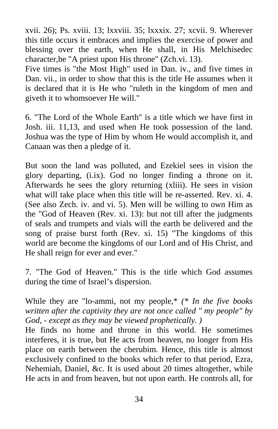xvii. 26); Ps. xviii. 13; lxxviii. 35; lxxxix. 27; xcvii. 9. Wherever this title occurs it embraces and implies the exercise of power and blessing over the earth, when He shall, in His Melchisedec character,be "A priest upon His throne" (Zch.vi. 13).

Five times is "the Most High" used in Dan. iv., and five times in Dan. vii., in order to show that this is the title He assumes when it is declared that it is He who "ruleth in the kingdom of men and giveth it to whomsoever He will."

6. "The Lord of the Whole Earth" is a title which we have first in Josh. iii. 11,13, and used when He took possession of the land. Joshua was the type of Him by whom He would accomplish it, and Canaan was then a pledge of it.

But soon the land was polluted, and Ezekiel sees in vision the glory departing, (i.ix). God no longer finding a throne on it. Afterwards he sees the glory returning (xliii). He sees in vision what will take place when this title will be re-asserted. Rev. xi. 4. (See also Zech. iv. and vi. 5). Men will be willing to own Him as the "God of Heaven (Rev. xi. 13): but not till after the judgments of seals and trumpets and vials will the earth be delivered and the song of praise burst forth (Rev. xi. 15) "The kingdoms of this world are become the kingdoms of our Lord and of His Christ, and He shall reign for ever and ever."

7. "The God of Heaven." This is the title which God assumes during the time of Israel's dispersion.

While they are "lo-ammi, not my people,\* *(\* In the five books written after the captivity they are not once called " my people" by God, - except as they may be viewed prophetically. )* 

He finds no home and throne in this world. He sometimes interferes, it is true, but He acts from heaven, no longer from His place on earth between the cherubim. Hence, this title is almost exclusively confined to the books which refer to that period, Ezra, Nehemiah, Daniel, &c. It is used about 20 times altogether, while He acts in and from heaven, but not upon earth. He controls all, for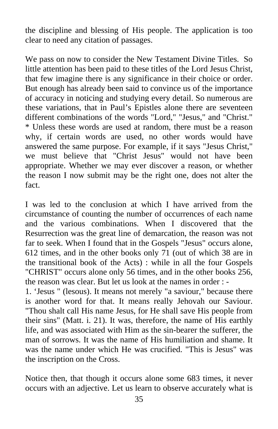the discipline and blessing of His people. The application is too clear to need any citation of passages.

We pass on now to consider the New Testament Divine Titles.So little attention has been paid to these titles of the Lord Jesus Christ, that few imagine there is any significance in their choice or order. But enough has already been said to convince us of the importance of accuracy in noticing and studying every detail. So numerous are these variations, that in Paul's Epistles alone there are seventeen different combinations of the words "Lord," "Jesus," and "Christ." \* Unless these words are used at random, there must be a reason why, if certain words are used, no other words would have answered the same purpose. For example, if it says "Jesus Christ," we must believe that "Christ Jesus" would not have been appropriate. Whether we may ever discover a reason, or whether the reason I now submit may be the right one, does not alter the fact.

I was led to the conclusion at which I have arrived from the circumstance of counting the number of occurrences of each name and the various combinations. When I discovered that the Resurrection was the great line of demarcation, the reason was not far to seek. When I found that in the Gospels "Jesus" occurs alone, 612 times, and in the other books only 71 (out of which 38 are in the transitional book of the Acts) : while in all the four Gospels "CHRIST" occurs alone only 56 times, and in the other books 256, the reason was clear. But let us look at the names in order : -

1. 'Jesus " (lesous). It means not merely "a saviour," because there is another word for that. It means really Jehovah our Saviour. "Thou shalt call His name Jesus, for He shall save His people from their sins" (Matt. i. 21). It was, therefore, the name of His earthly life, and was associated with Him as the sin-bearer the sufferer, the man of sorrows. It was the name of His humiliation and shame. It was the name under which He was crucified. "This is Jesus" was the inscription on the Cross.

Notice then, that though it occurs alone some 683 times, it never occurs with an adjective. Let us learn to observe accurately what is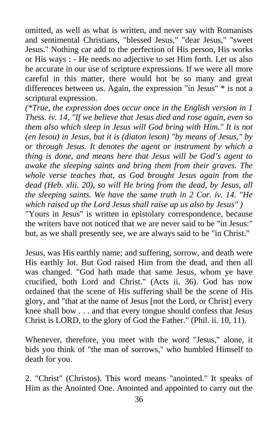omitted, as well as what is written, and never say with Romanists and sentimental Christians, "blessed Jesus," "dear Jesus," "sweet Jesus." Nothing car add to the perfection of His person, His works or His ways : - He needs no adjective to set Him forth. Let us also be accurate in our use of scripture expressions. If we were all more careful in this matter, there would hot be so many and great differences between us. Again, the expression "in Jesus" \* is not a scriptural expression.

*(\*True, the expression does occur once in the English version in 1 Thess. iv. 14, "If we believe that Jesus died and rose again, even so them also which sleep in Jesus will God bring with Him." It is not (en Iesou) in Jesus, but it is (diaton leson) "by means of Jesus," by or through Jesus. It denotes the agent or instrument by which a thing is done, and means here that Jesus will be God's agent to awake the sleeping saints and bring them from their graves. The whole verse teaches that, as God brought Jesus again from the dead (Heb. xlii. 20), so will He bring from the dead, by Jesus, all the sleeping saints. We have the same truth in 2 Cor. iv. 14. "He which raised up the Lord Jesus shall raise up us also by Jesus" )*  "Yours in Jesus" is written in epistolary correspondence, because

the writers have not noticed that we are never said to be "in Jesus:" but, as we shall presently see, we are always said to be "in Christ."

Jesus, was His earthly name; and suffering, sorrow, and death were His earthly lot. But God raised Him from the dead, and then all was changed. "God hath made that same Jesus, whom ye have crucified, both Lord and Christ." (Acts ii. 36). God has now ordained that the scene of His suffering shall be the scene of His glory, and "that at the name of Jesus [not the Lord, or Christ] every knee shall bow . . . and that every tongue should confess that Jesus Christ is LORD, to the glory of God the Father." (Phil. ii. 10, 11).

Whenever, therefore, you meet with the word "Jesus," alone, it bids you think of "the man of sorrows," who humbled Himself to death for you.

2. "Christ" (Christos). This word means "anointed." It speaks of Him as the Anointed One. Anointed and appointed to carry out the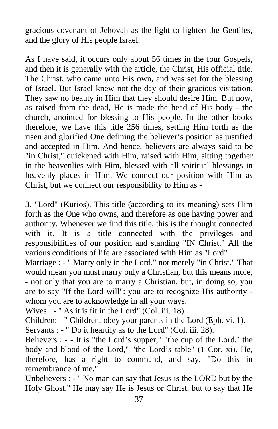gracious covenant of Jehovah as the light to lighten the Gentiles, and the glory of His people Israel.

As I have said, it occurs only about 56 times in the four Gospels, and then it is generally with the article, the Christ, His official title. The Christ, who came unto His own, and was set for the blessing of Israel. But Israel knew not the day of their gracious visitation. They saw no beauty in Him that they should desire Him. But now, as raised from the dead, He is made the head of His body - the church, anointed for blessing to His people. In the other books therefore, we have this title 256 times, setting Him forth as the risen and glorified One defining the believer's position as justified and accepted in Him. And hence, believers are always said to be "in Christ," quickened with Him, raised with Him, sitting together in the heavenlies with Him, blessed with all spiritual blessings in heavenly places in Him. We connect our position with Him as Christ, but we connect our responsibility to Him as -

3. "Lord" (Kurios). This title (according to its meaning) sets Him forth as the One who owns, and therefore as one having power and authority. Whenever we find this title, this is the thought connected with it. It is a title connected with the privileges and responsibilities of our position and standing "IN Christ." All the various conditions of life are associated with Him as "Lord"

Marriage : - " Marry only in the Lord," not merely "in Christ." That would mean you must marry only a Christian, but this means more, - not only that you are to marry a Christian, but, in doing so, you are to say "If the Lord will": you are to recognize His authority whom you are to acknowledge in all your ways.

Wives : - " As it is fit in the Lord" (Col. iii. 18).

Children: - " Children, obey your parents in the Lord (Eph. vi. 1). Servants : - " Do it heartily as to the Lord" (Col. iii. 28).

Believers : - - It is "the Lord's supper," "the cup of the Lord,' the body and blood of the Lord," "the Lord's table" (1 Cor. xi). He, therefore, has a right to command, and say, "Do this in remembrance of me."

Unbelievers : - " No man can say that Jesus is the LORD but by the Holy Ghost." He may say He is Jesus or Christ, but to say that He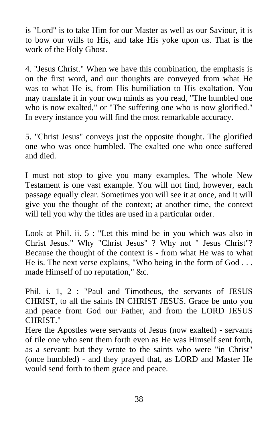is "Lord" is to take Him for our Master as well as our Saviour, it is to bow our wills to His, and take His yoke upon us. That is the work of the Holy Ghost.

4. "Jesus Christ." When we have this combination, the emphasis is on the first word, and our thoughts are conveyed from what He was to what He is, from His humiliation to His exaltation. You may translate it in your own minds as you read, "The humbled one who is now exalted," or "The suffering one who is now glorified." In every instance you will find the most remarkable accuracy.

5. "Christ Jesus" conveys just the opposite thought. The glorified one who was once humbled. The exalted one who once suffered and died.

I must not stop to give you many examples. The whole New Testament is one vast example. You will not find, however, each passage equally clear. Sometimes you will see it at once, and it will give you the thought of the context; at another time, the context will tell you why the titles are used in a particular order.

Look at Phil. ii. 5 : "Let this mind be in you which was also in Christ Jesus." Why "Christ Jesus" ? Why not " Jesus Christ"? Because the thought of the context is - from what He was to what He is. The next verse explains, "Who being in the form of God . . . made Himself of no reputation," &c.

Phil. i. 1, 2 : "Paul and Timotheus, the servants of JESUS CHRIST, to all the saints IN CHRIST JESUS. Grace be unto you and peace from God our Father, and from the LORD JESUS CHRIST."

Here the Apostles were servants of Jesus (now exalted) - servants of tile one who sent them forth even as He was Himself sent forth, as a servant: but they wrote to the saints who were "in Christ" (once humbled) - and they prayed that, as LORD and Master He would send forth to them grace and peace.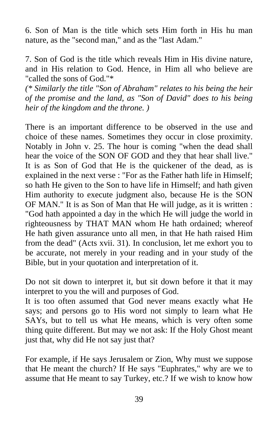6. Son of Man is the title which sets Him forth in His hu man nature, as the "second man," and as the "last Adam."

7. Son of God is the title which reveals Him in His divine nature, and in His relation to God. Hence, in Him all who believe are "called the sons of God."\*

*(\* Similarly the title "Son of Abraham" relates to his being the heir of the promise and the land, as "Son of David" does to his being heir of the kingdom and the throne. )* 

There is an important difference to be observed in the use and choice of these names. Sometimes they occur in close proximity. Notably in John v. 25. The hour is coming "when the dead shall hear the voice of the SON OF GOD and they that hear shall live." It is as Son of God that He is the quickener of the dead, as is explained in the next verse : "For as the Father hath life in Himself; so hath He given to the Son to have life in Himself; and hath given Him authority to execute judgment also, because He is the SON OF MAN." It is as Son of Man that He will judge, as it is written : "God hath appointed a day in the which He will judge the world in righteousness by THAT MAN whom He hath ordained; whereof He hath given assurance unto all men, in that He hath raised Him from the dead" (Acts xvii. 31). In conclusion, let me exhort you to be accurate, not merely in your reading and in your study of the Bible, but in your quotation and interpretation of it.

Do not sit down to interpret it, but sit down before it that it may interpret to you the will and purposes of God.

It is too often assumed that God never means exactly what He says; and persons go to His word not simply to learn what He SAYs, but to tell us what He means, which is very often some thing quite different. But may we not ask: If the Holy Ghost meant just that, why did He not say just that?

For example, if He says Jerusalem or Zion, Why must we suppose that He meant the church? If He says "Euphrates," why are we to assume that He meant to say Turkey, etc.? If we wish to know how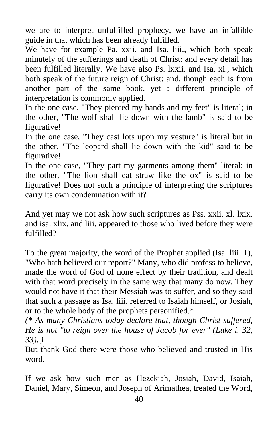we are to interpret unfulfilled prophecy, we have an infallible guide in that which has been already fulfilled.

We have for example Pa. xxii. and Isa. liii., which both speak minutely of the sufferings and death of Christ: and every detail has been fulfilled literally. We have also Ps. lxxii. and Isa. xi., which both speak of the future reign of Christ: and, though each is from another part of the same book, yet a different principle of interpretation is commonly applied.

In the one case, "They pierced my hands and my feet" is literal; in the other, "The wolf shall lie down with the lamb" is said to be figurative!

In the one case, "They cast lots upon my vesture" is literal but in the other, "The leopard shall lie down with the kid" said to be figurative!

In the one case, "They part my garments among them" literal; in the other, "The lion shall eat straw like the ox" is said to be figurative! Does not such a principle of interpreting the scriptures carry its own condemnation with it?

And yet may we not ask how such scriptures as Pss. xxii. xl. lxix. and isa. xlix. and liii. appeared to those who lived before they were fulfilled?

To the great majority, the word of the Prophet applied (Isa. liii. 1), "Who hath believed our report?" Many, who did profess to believe, made the word of God of none effect by their tradition, and dealt with that word precisely in the same way that many do now. They would not have it that their Messiah was to suffer, and so they said that such a passage as Isa. liii. referred to Isaiah himself, or Josiah, or to the whole body of the prophets personified.\*

*(\* As many Christians today declare that, though Christ suffered, He is not "to reign over the house of Jacob for ever" (Luke i. 32, 33). )* 

But thank God there were those who believed and trusted in His word.

If we ask how such men as Hezekiah, Josiah, David, Isaiah, Daniel, Mary, Simeon, and Joseph of Arimathea, treated the Word,